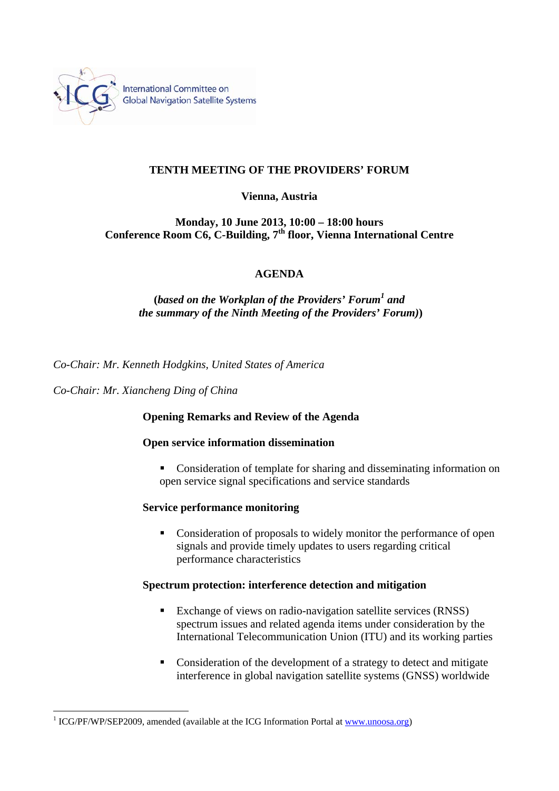

# **TENTH MEETING OF THE PROVIDERS' FORUM**

### **Vienna, Austria**

## **Monday, 10 June 2013, 10:00 – 18:00 hours**  Conference Room C6, C-Building, 7<sup>th</sup> floor, Vienna International Centre

## **AGENDA**

# **(***based on the Workplan of the Providers' Forum<sup>1</sup> and the summary of the Ninth Meeting of the Providers' Forum)***)**

*Co-Chair: Mr. Kenneth Hodgkins, United States of America* 

*Co-Chair: Mr. Xiancheng Ding of China* 

 $\overline{a}$ 

#### **Opening Remarks and Review of the Agenda**

#### **Open service information dissemination**

• Consideration of template for sharing and disseminating information on open service signal specifications and service standards

#### **Service performance monitoring**

• Consideration of proposals to widely monitor the performance of open signals and provide timely updates to users regarding critical performance characteristics

#### **Spectrum protection: interference detection and mitigation**

- Exchange of views on radio-navigation satellite services (RNSS) spectrum issues and related agenda items under consideration by the International Telecommunication Union (ITU) and its working parties
- Consideration of the development of a strategy to detect and mitigate interference in global navigation satellite systems (GNSS) worldwide

<sup>&</sup>lt;sup>1</sup> ICG/PF/WP/SEP2009, amended (available at the ICG Information Portal at www.unoosa.org)